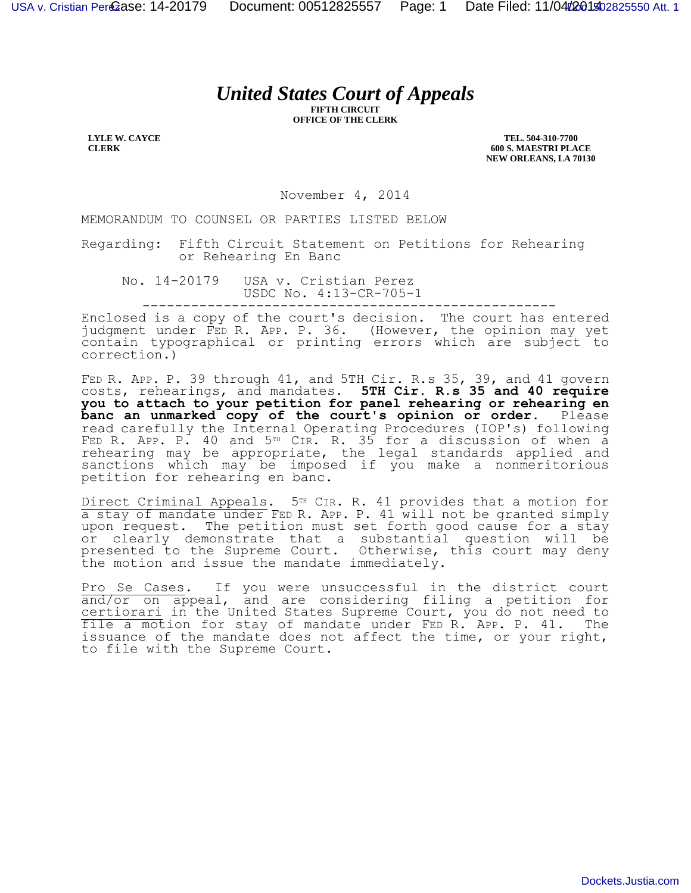## *United States Court of Appeals*

**FIFTH CIRCUIT OFFICE OF THE CLERK**

**LYLE W. CAYCE CLERK**

**TEL. 504-310-7700 600 S. MAESTRI PLACE NEW ORLEANS, LA 70130**

November 4, 2014

MEMORANDUM TO COUNSEL OR PARTIES LISTED BELOW

Regarding: Fifth Circuit Statement on Petitions for Rehearing or Rehearing En Banc

No. 14-20179 USA v. Cristian Perez USDC No. 4:13-CR-705-1 ---------------------------------------------------

Enclosed is a copy of the court's decision. The court has entered judgment under FED R. APP. P. 36. (However, the opinion may yet contain typographical or printing errors which are subject to correction.)

FED R. APP. P. 39 through 41, and 5TH Cir. R.s 35, 39, and 41 govern costs, rehearings, and mandates. **5TH Cir. R.s 35 and 40 require you to attach to your petition for panel rehearing or rehearing en**  banc an unmarked copy of the court's opinion or order. Please read carefully the Internal Operating Procedures (IOP's) following FED R. APP. P. 40 and 5TH CIR. R. 35 for a discussion of when a rehearing may be appropriate, the legal standards applied and sanctions which may be imposed if you make a nonmeritorious petition for rehearing en banc.

Direct Criminal Appeals. 5<sup>TH</sup> CIR. R. 41 provides that a motion for a stay of mandate under FED R. APP. P. 41 will not be granted simply upon request. The petition must set forth good cause for a stay or clearly demonstrate that a substantial question will be presented to the Supreme Court. Otherwise, this court may deny the motion and issue the mandate immediately.

Pro Se Cases. If you were unsuccessful in the district court and/or on appeal, and are considering filing a petition for certiorari in the United States Supreme Court, you do not need to file a motion for stay of mandate under FED R. APP. P. 41. The issuance of the mandate does not affect the time, or your right, to file with the Supreme Court.